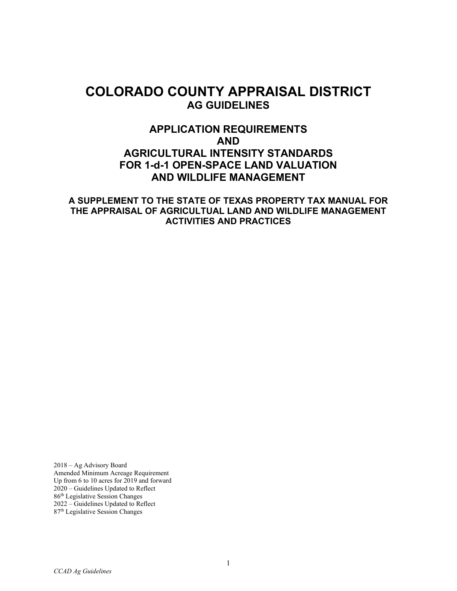# **COLORADO COUNTY APPRAISAL DISTRICT AG GUIDELINES**

## **APPLICATION REQUIREMENTS AND AGRICULTURAL INTENSITY STANDARDS FOR 1-d-1 OPEN-SPACE LAND VALUATION AND WILDLIFE MANAGEMENT**

**A SUPPLEMENT TO THE STATE OF TEXAS PROPERTY TAX MANUAL FOR THE APPRAISAL OF AGRICULTUAL LAND AND WILDLIFE MANAGEMENT ACTIVITIES AND PRACTICES**

2018 – Ag Advisory Board Amended Minimum Acreage Requirement Up from 6 to 10 acres for 2019 and forward 2020 – Guidelines Updated to Reflect 86th Legislative Session Changes 2022 – Guidelines Updated to Reflect 87th Legislative Session Changes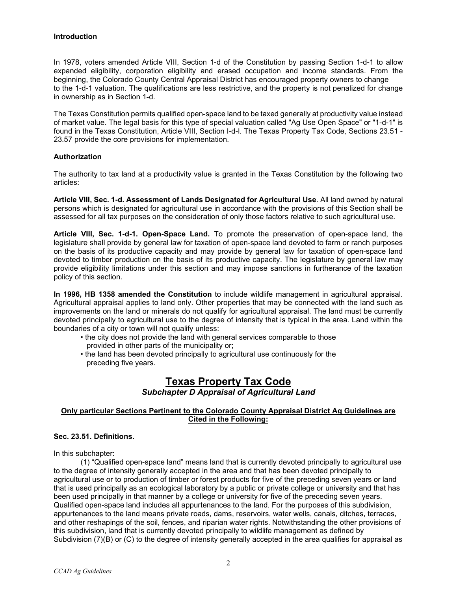#### **Introduction**

In 1978, voters amended Article VIII, Section 1-d of the Constitution by passing Section 1-d-1 to allow expanded eligibility, corporation eligibility and erased occupation and income standards. From the beginning, the Colorado County Central Appraisal District has encouraged property owners to change to the 1-d-1 valuation. The qualifications are less restrictive, and the property is not penalized for change in ownership as in Section 1-d.

The Texas Constitution permits qualified open-space land to be taxed generally at productivity value instead of market value. The legal basis for this type of special valuation called "Ag Use Open Space" or "1-d-1" is found in the Texas Constitution, Article VIII, Section I-d-l. The Texas Property Tax Code, Sections 23.51 - 23.57 provide the core provisions for implementation.

#### **Authorization**

The authority to tax land at a productivity value is granted in the Texas Constitution by the following two articles:

**Article VIII, Sec. 1-d. Assessment of Lands Designated for Agricultural Use**. All land owned by natural persons which is designated for agricultural use in accordance with the provisions of this Section shall be assessed for all tax purposes on the consideration of only those factors relative to such agricultural use.

**Article VIII, Sec. 1-d-1. Open-Space Land.** To promote the preservation of open-space land, the legislature shall provide by general law for taxation of open-space land devoted to farm or ranch purposes on the basis of its productive capacity and may provide by general law for taxation of open-space land devoted to timber production on the basis of its productive capacity. The legislature by general law may provide eligibility limitations under this section and may impose sanctions in furtherance of the taxation policy of this section.

**In 1996, HB 1358 amended the Constitution** to include wildlife management in agricultural appraisal. Agricultural appraisal applies to land only. Other properties that may be connected with the land such as improvements on the land or minerals do not qualify for agricultural appraisal. The land must be currently devoted principally to agricultural use to the degree of intensity that is typical in the area. Land within the boundaries of a city or town will not qualify unless:

- the city does not provide the land with general services comparable to those provided in other parts of the municipality or;
- the land has been devoted principally to agricultural use continuously for the preceding five years.

## **Texas Property Tax Code** *Subchapter D Appraisal of Agricultural Land*

#### **Only particular Sections Pertinent to the Colorado County Appraisal District Ag Guidelines are Cited in the Following:**

#### **Sec. 23.51. Definitions.**

In this subchapter:

(1) "Qualified open-space land" means land that is currently devoted principally to agricultural use to the degree of intensity generally accepted in the area and that has been devoted principally to agricultural use or to production of timber or forest products for five of the preceding seven years or land that is used principally as an ecological laboratory by a public or private college or university and that has been used principally in that manner by a college or university for five of the preceding seven years. Qualified open-space land includes all appurtenances to the land. For the purposes of this subdivision, appurtenances to the land means private roads, dams, reservoirs, water wells, canals, ditches, terraces, and other reshapings of the soil, fences, and riparian water rights. Notwithstanding the other provisions of this subdivision, land that is currently devoted principally to wildlife management as defined by Subdivision (7)(B) or (C) to the degree of intensity generally accepted in the area qualifies for appraisal as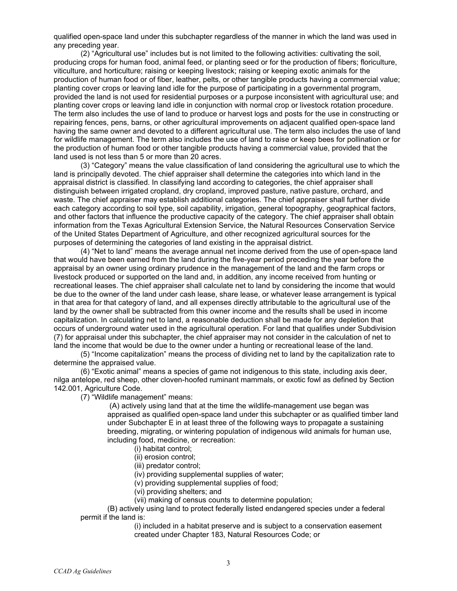qualified open-space land under this subchapter regardless of the manner in which the land was used in any preceding year.

(2) "Agricultural use" includes but is not limited to the following activities: cultivating the soil, producing crops for human food, animal feed, or planting seed or for the production of fibers; floriculture, viticulture, and horticulture; raising or keeping livestock; raising or keeping exotic animals for the production of human food or of fiber, leather, pelts, or other tangible products having a commercial value; planting cover crops or leaving land idle for the purpose of participating in a governmental program, provided the land is not used for residential purposes or a purpose inconsistent with agricultural use; and planting cover crops or leaving land idle in conjunction with normal crop or livestock rotation procedure. The term also includes the use of land to produce or harvest logs and posts for the use in constructing or repairing fences, pens, barns, or other agricultural improvements on adjacent qualified open-space land having the same owner and devoted to a different agricultural use. The term also includes the use of land for wildlife management. The term also includes the use of land to raise or keep bees for pollination or for the production of human food or other tangible products having a commercial value, provided that the land used is not less than 5 or more than 20 acres.

(3) "Category" means the value classification of land considering the agricultural use to which the land is principally devoted. The chief appraiser shall determine the categories into which land in the appraisal district is classified. In classifying land according to categories, the chief appraiser shall distinguish between irrigated cropland, dry cropland, improved pasture, native pasture, orchard, and waste. The chief appraiser may establish additional categories. The chief appraiser shall further divide each category according to soil type, soil capability, irrigation, general topography, geographical factors, and other factors that influence the productive capacity of the category. The chief appraiser shall obtain information from the Texas Agricultural Extension Service, the Natural Resources Conservation Service of the United States Department of Agriculture, and other recognized agricultural sources for the purposes of determining the categories of land existing in the appraisal district.

(4) "Net to land" means the average annual net income derived from the use of open-space land that would have been earned from the land during the five-year period preceding the year before the appraisal by an owner using ordinary prudence in the management of the land and the farm crops or livestock produced or supported on the land and, in addition, any income received from hunting or recreational leases. The chief appraiser shall calculate net to land by considering the income that would be due to the owner of the land under cash lease, share lease, or whatever lease arrangement is typical in that area for that category of land, and all expenses directly attributable to the agricultural use of the land by the owner shall be subtracted from this owner income and the results shall be used in income capitalization. In calculating net to land, a reasonable deduction shall be made for any depletion that occurs of underground water used in the agricultural operation. For land that qualifies under Subdivision (7) for appraisal under this subchapter, the chief appraiser may not consider in the calculation of net to land the income that would be due to the owner under a hunting or recreational lease of the land.

(5) "Income capitalization" means the process of dividing net to land by the capitalization rate to determine the appraised value.

(6) "Exotic animal" means a species of game not indigenous to this state, including axis deer, nilga antelope, red sheep, other cloven-hoofed ruminant mammals, or exotic fowl as defined by Section 142.001, Agriculture Code.

(7) "Wildlife management" means:

(A) actively using land that at the time the wildlife-management use began was appraised as qualified open-space land under this subchapter or as qualified timber land under Subchapter E in at least three of the following ways to propagate a sustaining breeding, migrating, or wintering population of indigenous wild animals for human use, including food, medicine, or recreation:

- (i) habitat control;
- (ii) erosion control;
- (iii) predator control;

(iv) providing supplemental supplies of water;

- (v) providing supplemental supplies of food;
- (vi) providing shelters; and
- (vii) making of census counts to determine population;

(B) actively using land to protect federally listed endangered species under a federal permit if the land is:

(i) included in a habitat preserve and is subject to a conservation easement created under Chapter 183, Natural Resources Code; or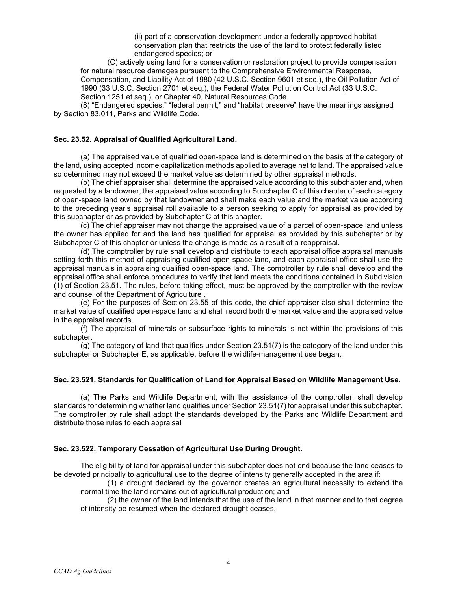(ii) part of a conservation development under a federally approved habitat conservation plan that restricts the use of the land to protect federally listed endangered species; or

(C) actively using land for a conservation or restoration project to provide compensation for natural resource damages pursuant to the Comprehensive Environmental Response, Compensation, and Liability Act of 1980 (42 U.S.C. Section 9601 et seq.), the Oil Pollution Act of 1990 (33 U.S.C. Section 2701 et seq.), the Federal Water Pollution Control Act (33 U.S.C. Section 1251 et seq.), or Chapter 40, Natural Resources Code.

(8) "Endangered species," "federal permit," and "habitat preserve" have the meanings assigned by Section 83.011, Parks and Wildlife Code.

#### **Sec. 23.52. Appraisal of Qualified Agricultural Land.**

(a) The appraised value of qualified open-space land is determined on the basis of the category of the land, using accepted income capitalization methods applied to average net to land. The appraised value so determined may not exceed the market value as determined by other appraisal methods.

(b) The chief appraiser shall determine the appraised value according to this subchapter and, when requested by a landowner, the appraised value according to Subchapter C of this chapter of each category of open-space land owned by that landowner and shall make each value and the market value according to the preceding year's appraisal roll available to a person seeking to apply for appraisal as provided by this subchapter or as provided by Subchapter C of this chapter.

(c) The chief appraiser may not change the appraised value of a parcel of open-space land unless the owner has applied for and the land has qualified for appraisal as provided by this subchapter or by Subchapter C of this chapter or unless the change is made as a result of a reappraisal.

(d) The comptroller by rule shall develop and distribute to each appraisal office appraisal manuals setting forth this method of appraising qualified open-space land, and each appraisal office shall use the appraisal manuals in appraising qualified open-space land. The comptroller by rule shall develop and the appraisal office shall enforce procedures to verify that land meets the conditions contained in Subdivision (1) of Section 23.51. The rules, before taking effect, must be approved by the comptroller with the review and counsel of the Department of Agriculture .

(e) For the purposes of Section 23.55 of this code, the chief appraiser also shall determine the market value of qualified open-space land and shall record both the market value and the appraised value in the appraisal records.

(f) The appraisal of minerals or subsurface rights to minerals is not within the provisions of this subchapter.

(g) The category of land that qualifies under Section 23.51(7) is the category of the land under this subchapter or Subchapter E, as applicable, before the wildlife-management use began.

#### **Sec. 23.521. Standards for Qualification of Land for Appraisal Based on Wildlife Management Use.**

(a) The Parks and Wildlife Department, with the assistance of the comptroller, shall develop standards for determining whether land qualifies under Section 23.51(7) for appraisal under this subchapter. The comptroller by rule shall adopt the standards developed by the Parks and Wildlife Department and distribute those rules to each appraisal

#### **Sec. 23.522. Temporary Cessation of Agricultural Use During Drought.**

The eligibility of land for appraisal under this subchapter does not end because the land ceases to be devoted principally to agricultural use to the degree of intensity generally accepted in the area if:

(1) a drought declared by the governor creates an agricultural necessity to extend the normal time the land remains out of agricultural production; and

(2) the owner of the land intends that the use of the land in that manner and to that degree of intensity be resumed when the declared drought ceases.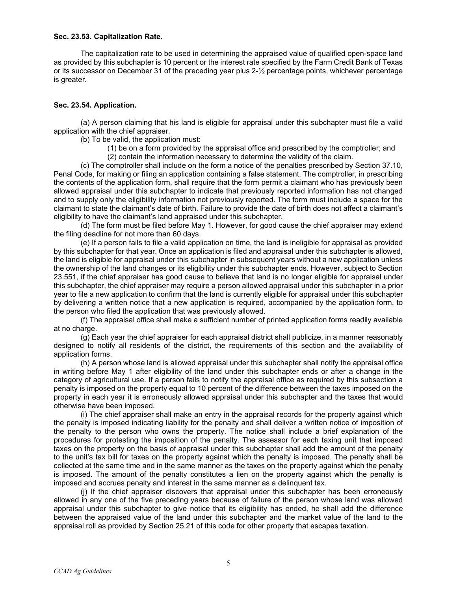#### **Sec. 23.53. Capitalization Rate.**

The capitalization rate to be used in determining the appraised value of qualified open-space land as provided by this subchapter is 10 percent or the interest rate specified by the Farm Credit Bank of Texas or its successor on December 31 of the preceding year plus 2-½ percentage points, whichever percentage is greater.

#### **Sec. 23.54. Application.**

(a) A person claiming that his land is eligible for appraisal under this subchapter must file a valid application with the chief appraiser.

(b) To be valid, the application must:

- (1) be on a form provided by the appraisal office and prescribed by the comptroller; and
- (2) contain the information necessary to determine the validity of the claim.

(c) The comptroller shall include on the form a notice of the penalties prescribed by Section 37.10, Penal Code, for making or filing an application containing a false statement. The comptroller, in prescribing the contents of the application form, shall require that the form permit a claimant who has previously been allowed appraisal under this subchapter to indicate that previously reported information has not changed and to supply only the eligibility information not previously reported. The form must include a space for the claimant to state the claimant's date of birth. Failure to provide the date of birth does not affect a claimant's eligibility to have the claimant's land appraised under this subchapter.

(d) The form must be filed before May 1. However, for good cause the chief appraiser may extend the filing deadline for not more than 60 days.

(e) If a person fails to file a valid application on time, the land is ineligible for appraisal as provided by this subchapter for that year. Once an application is filed and appraisal under this subchapter is allowed, the land is eligible for appraisal under this subchapter in subsequent years without a new application unless the ownership of the land changes or its eligibility under this subchapter ends. However, subject to Section 23.551, if the chief appraiser has good cause to believe that land is no longer eligible for appraisal under this subchapter, the chief appraiser may require a person allowed appraisal under this subchapter in a prior year to file a new application to confirm that the land is currently eligible for appraisal under this subchapter by delivering a written notice that a new application is required, accompanied by the application form, to the person who filed the application that was previously allowed.

(f) The appraisal office shall make a sufficient number of printed application forms readily available at no charge.

(g) Each year the chief appraiser for each appraisal district shall publicize, in a manner reasonably designed to notify all residents of the district, the requirements of this section and the availability of application forms.

(h) A person whose land is allowed appraisal under this subchapter shall notify the appraisal office in writing before May 1 after eligibility of the land under this subchapter ends or after a change in the category of agricultural use. If a person fails to notify the appraisal office as required by this subsection a penalty is imposed on the property equal to 10 percent of the difference between the taxes imposed on the property in each year it is erroneously allowed appraisal under this subchapter and the taxes that would otherwise have been imposed.

(i) The chief appraiser shall make an entry in the appraisal records for the property against which the penalty is imposed indicating liability for the penalty and shall deliver a written notice of imposition of the penalty to the person who owns the property. The notice shall include a brief explanation of the procedures for protesting the imposition of the penalty. The assessor for each taxing unit that imposed taxes on the property on the basis of appraisal under this subchapter shall add the amount of the penalty to the unit's tax bill for taxes on the property against which the penalty is imposed. The penalty shall be collected at the same time and in the same manner as the taxes on the property against which the penalty is imposed. The amount of the penalty constitutes a lien on the property against which the penalty is imposed and accrues penalty and interest in the same manner as a delinquent tax.

(j) If the chief appraiser discovers that appraisal under this subchapter has been erroneously allowed in any one of the five preceding years because of failure of the person whose land was allowed appraisal under this subchapter to give notice that its eligibility has ended, he shall add the difference between the appraised value of the land under this subchapter and the market value of the land to the appraisal roll as provided by Section 25.21 of this code for other property that escapes taxation.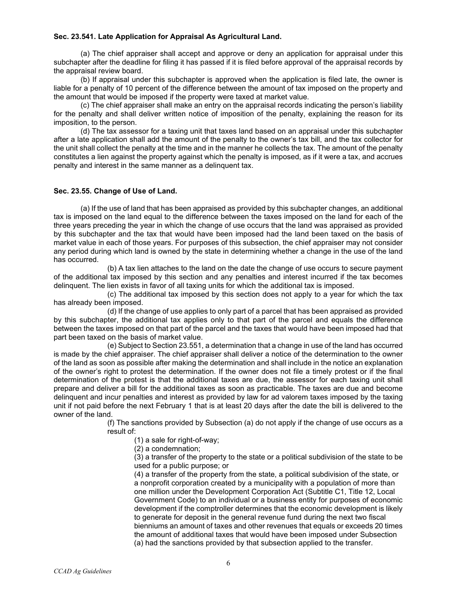#### **Sec. 23.541. Late Application for Appraisal As Agricultural Land.**

(a) The chief appraiser shall accept and approve or deny an application for appraisal under this subchapter after the deadline for filing it has passed if it is filed before approval of the appraisal records by the appraisal review board.

(b) If appraisal under this subchapter is approved when the application is filed late, the owner is liable for a penalty of 10 percent of the difference between the amount of tax imposed on the property and the amount that would be imposed if the property were taxed at market value.

(c) The chief appraiser shall make an entry on the appraisal records indicating the person's liability for the penalty and shall deliver written notice of imposition of the penalty, explaining the reason for its imposition, to the person.

(d) The tax assessor for a taxing unit that taxes land based on an appraisal under this subchapter after a late application shall add the amount of the penalty to the owner's tax bill, and the tax collector for the unit shall collect the penalty at the time and in the manner he collects the tax. The amount of the penalty constitutes a lien against the property against which the penalty is imposed, as if it were a tax, and accrues penalty and interest in the same manner as a delinquent tax.

#### **Sec. 23.55. Change of Use of Land.**

(a) If the use of land that has been appraised as provided by this subchapter changes, an additional tax is imposed on the land equal to the difference between the taxes imposed on the land for each of the three years preceding the year in which the change of use occurs that the land was appraised as provided by this subchapter and the tax that would have been imposed had the land been taxed on the basis of market value in each of those years. For purposes of this subsection, the chief appraiser may not consider any period during which land is owned by the state in determining whether a change in the use of the land has occurred.

(b) A tax lien attaches to the land on the date the change of use occurs to secure payment of the additional tax imposed by this section and any penalties and interest incurred if the tax becomes delinquent. The lien exists in favor of all taxing units for which the additional tax is imposed.

(c) The additional tax imposed by this section does not apply to a year for which the tax has already been imposed.

(d) If the change of use applies to only part of a parcel that has been appraised as provided by this subchapter, the additional tax applies only to that part of the parcel and equals the difference between the taxes imposed on that part of the parcel and the taxes that would have been imposed had that part been taxed on the basis of market value.

(e) Subject to Section 23.551, a determination that a change in use of the land has occurred is made by the chief appraiser. The chief appraiser shall deliver a notice of the determination to the owner of the land as soon as possible after making the determination and shall include in the notice an explanation of the owner's right to protest the determination. If the owner does not file a timely protest or if the final determination of the protest is that the additional taxes are due, the assessor for each taxing unit shall prepare and deliver a bill for the additional taxes as soon as practicable. The taxes are due and become delinquent and incur penalties and interest as provided by law for ad valorem taxes imposed by the taxing unit if not paid before the next February 1 that is at least 20 days after the date the bill is delivered to the owner of the land.

> (f) The sanctions provided by Subsection (a) do not apply if the change of use occurs as a result of:

(1) a sale for right-of-way;

(2) a condemnation;

(3) a transfer of the property to the state or a political subdivision of the state to be used for a public purpose; or

(4) a transfer of the property from the state, a political subdivision of the state, or a nonprofit corporation created by a municipality with a population of more than one million under the Development Corporation Act (Subtitle C1, Title 12, Local Government Code) to an individual or a business entity for purposes of economic development if the comptroller determines that the economic development is likely to generate for deposit in the general revenue fund during the next two fiscal bienniums an amount of taxes and other revenues that equals or exceeds 20 times the amount of additional taxes that would have been imposed under Subsection (a) had the sanctions provided by that subsection applied to the transfer.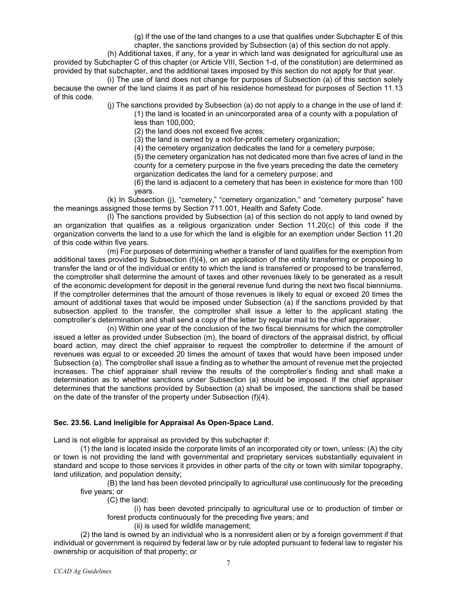(g) If the use of the land changes to a use that qualifies under Subchapter E of this

chapter, the sanctions provided by Subsection (a) of this section do not apply.

(h) Additional taxes, if any, for a year in which land was designated for agricultural use as provided by Subchapter C of this chapter (or Article VIII, Section 1-d, of the constitution) are determined as provided by that subchapter, and the additional taxes imposed by this section do not apply for that year.

(i) The use of land does not change for purposes of Subsection (a) of this section solely because the owner of the land claims it as part of his residence homestead for purposes of Section 11.13 of this code.

- (j) The sanctions provided by Subsection (a) do not apply to a change in the use of land if: (1) the land is located in an unincorporated area of a county with a population of less than 100,000;
	- (2) the land does not exceed five acres;
	- (3) the land is owned by a not-for-profit cemetery organization;
	- (4) the cemetery organization dedicates the land for a cemetery purpose;

(5) the cemetery organization has not dedicated more than five acres of land in the county for a cemetery purpose in the five years preceding the date the cemetery organization dedicates the land for a cemetery purpose; and

(6) the land is adjacent to a cemetery that has been in existence for more than 100 years.

(k) In Subsection (j), "cemetery," "cemetery organization," and "cemetery purpose" have the meanings assigned those terms by Section 711.001, Health and Safety Code.

(l) The sanctions provided by Subsection (a) of this section do not apply to land owned by an organization that qualifies as a religious organization under Section 11.20(c) of this code if the organization converts the land to a use for which the land is eligible for an exemption under Section 11.20 of this code within five years.

(m) For purposes of determining whether a transfer of land qualifies for the exemption from additional taxes provided by Subsection (f)(4), on an application of the entity transferring or proposing to transfer the land or of the individual or entity to which the land is transferred or proposed to be transferred, the comptroller shall determine the amount of taxes and other revenues likely to be generated as a result of the economic development for deposit in the general revenue fund during the next two fiscal bienniums. If the comptroller determines that the amount of those revenues is likely to equal or exceed 20 times the amount of additional taxes that would be imposed under Subsection (a) if the sanctions provided by that subsection applied to the transfer, the comptroller shall issue a letter to the applicant stating the comptroller's determination and shall send a copy of the letter by regular mail to the chief appraiser.

(n) Within one year of the conclusion of the two fiscal bienniums for which the comptroller issued a letter as provided under Subsection (m), the board of directors of the appraisal district, by official board action, may direct the chief appraiser to request the comptroller to determine if the amount of revenues was equal to or exceeded 20 times the amount of taxes that would have been imposed under Subsection (a). The comptroller shall issue a finding as to whether the amount of revenue met the projected increases. The chief appraiser shall review the results of the comptroller's finding and shall make a determination as to whether sanctions under Subsection (a) should be imposed. If the chief appraiser determines that the sanctions provided by Subsection (a) shall be imposed, the sanctions shall be based on the date of the transfer of the property under Subsection (f)(4).

### **Sec. 23.56. Land Ineligible for Appraisal As Open-Space Land.**

Land is not eligible for appraisal as provided by this subchapter if:

(1) the land is located inside the corporate limits of an incorporated city or town, unless: (A) the city or town is not providing the land with governmental and proprietary services substantially equivalent in standard and scope to those services it provides in other parts of the city or town with similar topography, land utilization, and population density;

(B) the land has been devoted principally to agricultural use continuously for the preceding five years; or

(C) the land:

(i) has been devoted principally to agricultural use or to production of timber or forest products continuously for the preceding five years; and

(ii) is used for wildlife management;

(2) the land is owned by an individual who is a nonresident alien or by a foreign government if that individual or government is required by federal law or by rule adopted pursuant to federal law to register his ownership or acquisition of that property; or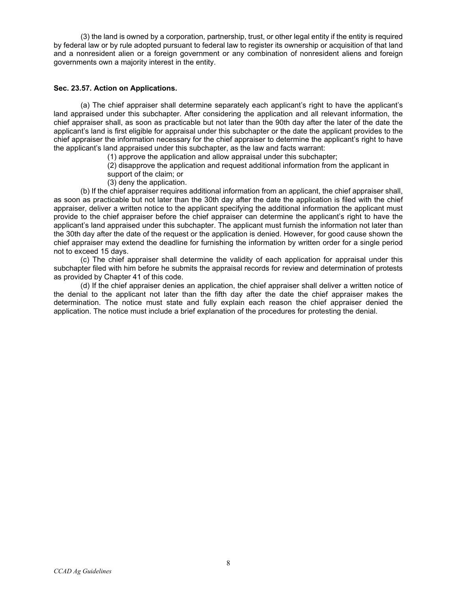(3) the land is owned by a corporation, partnership, trust, or other legal entity if the entity is required by federal law or by rule adopted pursuant to federal law to register its ownership or acquisition of that land and a nonresident alien or a foreign government or any combination of nonresident aliens and foreign governments own a majority interest in the entity.

#### **Sec. 23.57. Action on Applications.**

(a) The chief appraiser shall determine separately each applicant's right to have the applicant's land appraised under this subchapter. After considering the application and all relevant information, the chief appraiser shall, as soon as practicable but not later than the 90th day after the later of the date the applicant's land is first eligible for appraisal under this subchapter or the date the applicant provides to the chief appraiser the information necessary for the chief appraiser to determine the applicant's right to have the applicant's land appraised under this subchapter, as the law and facts warrant:

- (1) approve the application and allow appraisal under this subchapter;
- (2) disapprove the application and request additional information from the applicant in
- support of the claim; or
- (3) deny the application.

(b) If the chief appraiser requires additional information from an applicant, the chief appraiser shall, as soon as practicable but not later than the 30th day after the date the application is filed with the chief appraiser, deliver a written notice to the applicant specifying the additional information the applicant must provide to the chief appraiser before the chief appraiser can determine the applicant's right to have the applicant's land appraised under this subchapter. The applicant must furnish the information not later than the 30th day after the date of the request or the application is denied. However, for good cause shown the chief appraiser may extend the deadline for furnishing the information by written order for a single period not to exceed 15 days.

(c) The chief appraiser shall determine the validity of each application for appraisal under this subchapter filed with him before he submits the appraisal records for review and determination of protests as provided by Chapter 41 of this code.

(d) If the chief appraiser denies an application, the chief appraiser shall deliver a written notice of the denial to the applicant not later than the fifth day after the date the chief appraiser makes the determination. The notice must state and fully explain each reason the chief appraiser denied the application. The notice must include a brief explanation of the procedures for protesting the denial.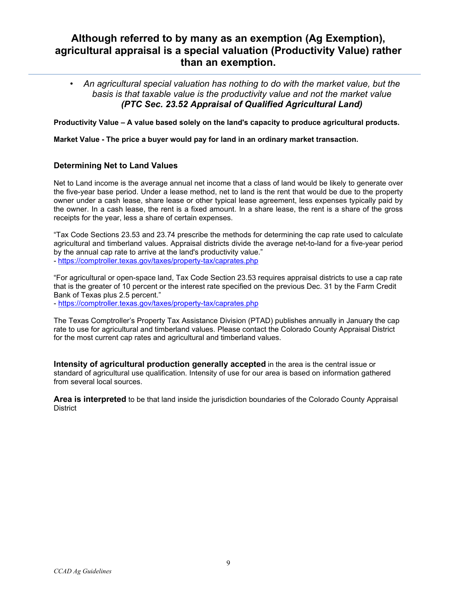# **Although referred to by many as an exemption (Ag Exemption), agricultural appraisal is a special valuation (Productivity Value) rather than an exemption.**

• *An agricultural special valuation has nothing to do with the market value, but the basis is that taxable value is the productivity value and not the market value (PTC Sec. 23.52 Appraisal of Qualified Agricultural Land)*

**Productivity Value – A value based solely on the land's capacity to produce agricultural products.**

**Market Value - The price a buyer would pay for land in an ordinary market transaction.**

## **Determining Net to Land Values**

Net to Land income is the average annual net income that a class of land would be likely to generate over the five-year base period. Under a lease method, net to land is the rent that would be due to the property owner under a cash lease, share lease or other typical lease agreement, less expenses typically paid by the owner. In a cash lease, the rent is a fixed amount. In a share lease, the rent is a share of the gross receipts for the year, less a share of certain expenses.

"Tax Code Sections 23.53 and 23.74 prescribe the methods for determining the cap rate used to calculate agricultural and timberland values. Appraisal districts divide the average net-to-land for a five-year period by the annual cap rate to arrive at the land's productivity value." - <https://comptroller.texas.gov/taxes/property-tax/caprates.php>

"For agricultural or open-space land, Tax Code Section 23.53 requires appraisal districts to use a cap rate that is the greater of 10 percent or the interest rate specified on the previous Dec. 31 by the Farm Credit Bank of Texas plus 2.5 percent."

- <https://comptroller.texas.gov/taxes/property-tax/caprates.php>

The Texas Comptroller's Property Tax Assistance Division (PTAD) publishes annually in January the cap rate to use for agricultural and timberland values. Please contact the Colorado County Appraisal District for the most current cap rates and agricultural and timberland values.

**Intensity of agricultural production generally accepted** in the area is the central issue or standard of agricultural use qualification. Intensity of use for our area is based on information gathered from several local sources.

**Area is interpreted** to be that land inside the jurisdiction boundaries of the Colorado County Appraisal District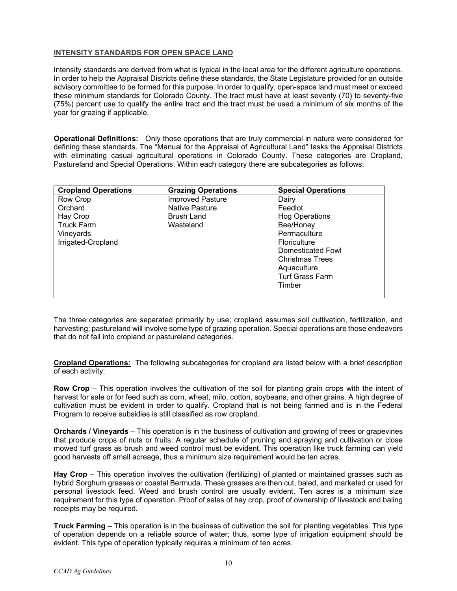## **INTENSITY STANDARDS FOR OPEN SPACE LAND**

Intensity standards are derived from what is typical in the local area for the different agriculture operations. In order to help the Appraisal Districts define these standards, the State Legislature provided for an outside advisory committee to be formed for this purpose. In order to qualify, open-space land must meet or exceed these minimum standards for Colorado County. The tract must have at least seventy (70) to seventy-five (75%) percent use to qualify the entire tract and the tract must be used a minimum of six months of the year for grazing if applicable.

**Operational Definitions:** Only those operations that are truly commercial in nature were considered for defining these standards. The "Manual for the Appraisal of Agricultural Land" tasks the Appraisal Districts with eliminating casual agricultural operations in Colorado County. These categories are Cropland, Pastureland and Special Operations. Within each category there are subcategories as follows:

| <b>Cropland Operations</b> | <b>Grazing Operations</b> | <b>Special Operations</b> |
|----------------------------|---------------------------|---------------------------|
| Row Crop                   | <b>Improved Pasture</b>   | Dairy                     |
| Orchard                    | <b>Native Pasture</b>     | Feedlot                   |
| Hay Crop                   | <b>Brush Land</b>         | <b>Hog Operations</b>     |
| <b>Truck Farm</b>          | Wasteland                 | Bee/Honey                 |
| Vineyards                  |                           | Permaculture              |
| Irrigated-Cropland         |                           | Floriculture              |
|                            |                           | Domesticated Fowl         |
|                            |                           | <b>Christmas Trees</b>    |
|                            |                           | Aquaculture               |
|                            |                           | <b>Turf Grass Farm</b>    |
|                            |                           | Timber                    |
|                            |                           |                           |

The three categories are separated primarily by use; cropland assumes soil cultivation, fertilization, and harvesting; pastureland will involve some type of grazing operation. Special operations are those endeavors that do not fall into cropland or pastureland categories.

**Cropland Operations:** The following subcategories for cropland are listed below with a brief description of each activity:

**Row Crop** – This operation involves the cultivation of the soil for planting grain crops with the intent of harvest for sale or for feed such as corn, wheat, milo, cotton, soybeans, and other grains. A high degree of cultivation must be evident in order to qualify. Cropland that is not being farmed and is in the Federal Program to receive subsidies is still classified as row cropland.

**Orchards / Vineyards** – This operation is in the business of cultivation and growing of trees or grapevines that produce crops of nuts or fruits. A regular schedule of pruning and spraying and cultivation or close mowed turf grass as brush and weed control must be evident. This operation like truck farming can yield good harvests off small acreage, thus a minimum size requirement would be ten acres.

**Hay Crop** – This operation involves the cultivation (fertilizing) of planted or maintained grasses such as hybrid Sorghum grasses or coastal Bermuda. These grasses are then cut, baled, and marketed or used for personal livestock feed. Weed and brush control are usually evident. Ten acres is a minimum size requirement for this type of operation. Proof of sales of hay crop, proof of ownership of livestock and baling receipts may be required.

**Truck Farming** – This operation is in the business of cultivation the soil for planting vegetables. This type of operation depends on a reliable source of water; thus, some type of irrigation equipment should be evident. This type of operation typically requires a minimum of ten acres.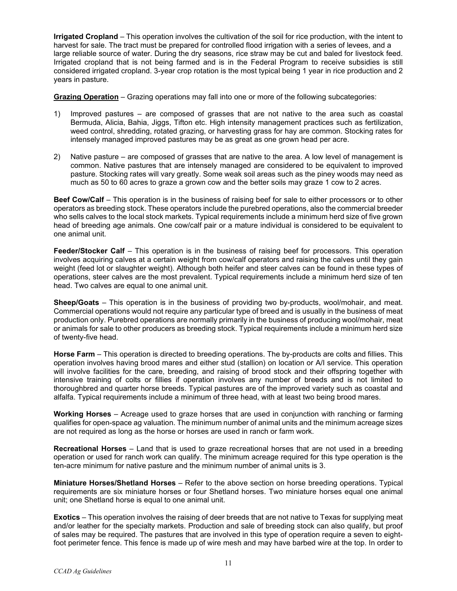**Irrigated Cropland** – This operation involves the cultivation of the soil for rice production, with the intent to harvest for sale. The tract must be prepared for controlled flood irrigation with a series of levees, and a large reliable source of water. During the dry seasons, rice straw may be cut and baled for livestock feed. Irrigated cropland that is not being farmed and is in the Federal Program to receive subsidies is still considered irrigated cropland. 3-year crop rotation is the most typical being 1 year in rice production and 2 years in pasture.

**Grazing Operation** – Grazing operations may fall into one or more of the following subcategories:

- 1) Improved pastures are composed of grasses that are not native to the area such as coastal Bermuda, Alicia, Bahia, Jiggs, Tifton etc. High intensity management practices such as fertilization, weed control, shredding, rotated grazing, or harvesting grass for hay are common. Stocking rates for intensely managed improved pastures may be as great as one grown head per acre.
- 2) Native pasture are composed of grasses that are native to the area. A low level of management is common. Native pastures that are intensely managed are considered to be equivalent to improved pasture. Stocking rates will vary greatly. Some weak soil areas such as the piney woods may need as much as 50 to 60 acres to graze a grown cow and the better soils may graze 1 cow to 2 acres.

**Beef Cow/Calf** – This operation is in the business of raising beef for sale to either processors or to other operators as breeding stock. These operators include the purebred operations, also the commercial breeder who sells calves to the local stock markets. Typical requirements include a minimum herd size of five grown head of breeding age animals. One cow/calf pair or a mature individual is considered to be equivalent to one animal unit.

**Feeder/Stocker Calf** – This operation is in the business of raising beef for processors. This operation involves acquiring calves at a certain weight from cow/calf operators and raising the calves until they gain weight (feed lot or slaughter weight). Although both heifer and steer calves can be found in these types of operations, steer calves are the most prevalent. Typical requirements include a minimum herd size of ten head. Two calves are equal to one animal unit.

**Sheep/Goats** – This operation is in the business of providing two by-products, wool/mohair, and meat. Commercial operations would not require any particular type of breed and is usually in the business of meat production only. Purebred operations are normally primarily in the business of producing wool/mohair, meat or animals for sale to other producers as breeding stock. Typical requirements include a minimum herd size of twenty-five head.

**Horse Farm** – This operation is directed to breeding operations. The by-products are colts and fillies. This operation involves having brood mares and either stud (stallion) on location or A/I service. This operation will involve facilities for the care, breeding, and raising of brood stock and their offspring together with intensive training of colts or fillies if operation involves any number of breeds and is not limited to thoroughbred and quarter horse breeds. Typical pastures are of the improved variety such as coastal and alfalfa. Typical requirements include a minimum of three head, with at least two being brood mares.

**Working Horses** – Acreage used to graze horses that are used in conjunction with ranching or farming qualifies for open-space ag valuation. The minimum number of animal units and the minimum acreage sizes are not required as long as the horse or horses are used in ranch or farm work.

**Recreational Horses** – Land that is used to graze recreational horses that are not used in a breeding operation or used for ranch work can qualify. The minimum acreage required for this type operation is the ten-acre minimum for native pasture and the minimum number of animal units is 3.

**Miniature Horses/Shetland Horses** – Refer to the above section on horse breeding operations. Typical requirements are six miniature horses or four Shetland horses. Two miniature horses equal one animal unit; one Shetland horse is equal to one animal unit.

**Exotics** – This operation involves the raising of deer breeds that are not native to Texas for supplying meat and/or leather for the specialty markets. Production and sale of breeding stock can also qualify, but proof of sales may be required. The pastures that are involved in this type of operation require a seven to eightfoot perimeter fence. This fence is made up of wire mesh and may have barbed wire at the top. In order to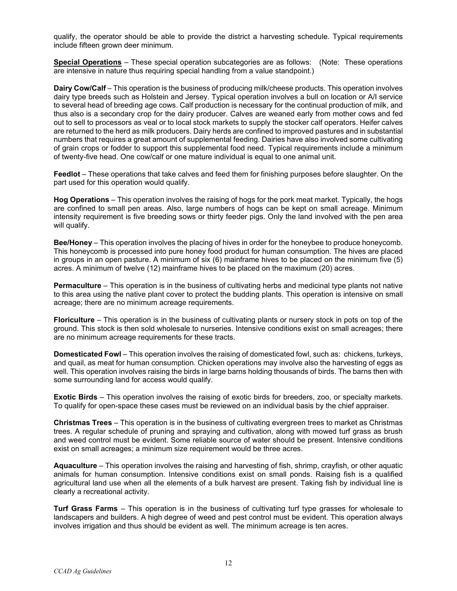qualify, the operator should be able to provide the district a harvesting schedule. Typical requirements include fifteen grown deer minimum.

**Special Operations** – These special operation subcategories are as follows: (Note: These operations are intensive in nature thus requiring special handling from a value standpoint.)

**Dairy Cow/Calf** – This operation is the business of producing milk/cheese products. This operation involves dairy type breeds such as Holstein and Jersey. Typical operation involves a bull on location or A/I service to several head of breeding age cows. Calf production is necessary for the continual production of milk, and thus also is a secondary crop for the dairy producer. Calves are weaned early from mother cows and fed out to sell to processors as veal or to local stock markets to supply the stocker calf operators. Heifer calves are returned to the herd as milk producers. Dairy herds are confined to improved pastures and in substantial numbers that requires a great amount of supplemental feeding. Dairies have also involved some cultivating of grain crops or fodder to support this supplemental food need. Typical requirements include a minimum of twenty-five head. One cow/calf or one mature individual is equal to one animal unit.

**Feedlot** – These operations that take calves and feed them for finishing purposes before slaughter. On the part used for this operation would qualify.

**Hog Operations** – This operation involves the raising of hogs for the pork meat market. Typically, the hogs are confined to small pen areas. Also, large numbers of hogs can be kept on small acreage. Minimum intensity requirement is five breeding sows or thirty feeder pigs. Only the land involved with the pen area will qualify.

**Bee/Honey** – This operation involves the placing of hives in order for the honeybee to produce honeycomb. This honeycomb is processed into pure honey food product for human consumption. The hives are placed in groups in an open pasture. A minimum of six (6) mainframe hives to be placed on the minimum five (5) acres. A minimum of twelve (12) mainframe hives to be placed on the maximum (20) acres.

**Permaculture** – This operation is in the business of cultivating herbs and medicinal type plants not native to this area using the native plant cover to protect the budding plants. This operation is intensive on small acreage; there are no minimum acreage requirements.

**Floriculture** – This operation is in the business of cultivating plants or nursery stock in pots on top of the ground. This stock is then sold wholesale to nurseries. Intensive conditions exist on small acreages; there are no minimum acreage requirements for these tracts.

**Domesticated Fowl** – This operation involves the raising of domesticated fowl, such as: chickens, turkeys, and quail, as meat for human consumption. Chicken operations may involve also the harvesting of eggs as well. This operation involves raising the birds in large barns holding thousands of birds. The barns then with some surrounding land for access would qualify.

**Exotic Birds** – This operation involves the raising of exotic birds for breeders, zoo, or specialty markets. To qualify for open-space these cases must be reviewed on an individual basis by the chief appraiser.

**Christmas Trees** – This operation is in the business of cultivating evergreen trees to market as Christmas trees. A regular schedule of pruning and spraying and cultivation, along with mowed turf grass as brush and weed control must be evident. Some reliable source of water should be present. Intensive conditions exist on small acreages; a minimum size requirement would be three acres.

**Aquaculture** – This operation involves the raising and harvesting of fish, shrimp, crayfish, or other aquatic animals for human consumption. Intensive conditions exist on small ponds. Raising fish is a qualified agricultural land use when all the elements of a bulk harvest are present. Taking fish by individual line is clearly a recreational activity.

**Turf Grass Farms** – This operation is in the business of cultivating turf type grasses for wholesale to landscapers and builders. A high degree of weed and pest control must be evident. This operation always involves irrigation and thus should be evident as well. The minimum acreage is ten acres.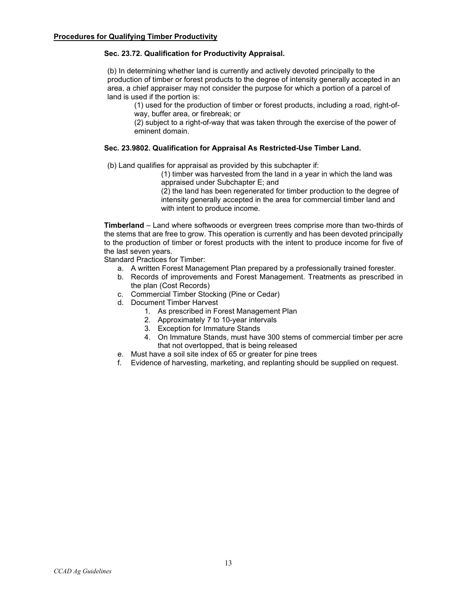#### **Sec. 23.72. Qualification for Productivity Appraisal.**

(b) In determining whether land is currently and actively devoted principally to the production of timber or forest products to the degree of intensity generally accepted in an area, a chief appraiser may not consider the purpose for which a portion of a parcel of land is used if the portion is:

(1) used for the production of timber or forest products, including a road, right-ofway, buffer area, or firebreak; or

(2) subject to a right-of-way that was taken through the exercise of the power of eminent domain.

#### **Sec. 23.9802. Qualification for Appraisal As Restricted-Use Timber Land.**

(b) Land qualifies for appraisal as provided by this subchapter if:

(1) timber was harvested from the land in a year in which the land was appraised under Subchapter E; and

(2) the land has been regenerated for timber production to the degree of intensity generally accepted in the area for commercial timber land and with intent to produce income.

**Timberland** – Land where softwoods or evergreen trees comprise more than two-thirds of the stems that are free to grow. This operation is currently and has been devoted principally to the production of timber or forest products with the intent to produce income for five of the last seven years.

Standard Practices for Timber:

- a. A written Forest Management Plan prepared by a professionally trained forester.
- b. Records of improvements and Forest Management. Treatments as prescribed in the plan (Cost Records)
- c. Commercial Timber Stocking (Pine or Cedar)
- d. Document Timber Harvest
	- 1. As prescribed in Forest Management Plan
	- 2. Approximately 7 to 10-year intervals
	- 3. Exception for Immature Stands
	- 4. On Immature Stands, must have 300 stems of commercial timber per acre that not overtopped, that is being released
- e. Must have a soil site index of 65 or greater for pine trees
- f. Evidence of harvesting, marketing, and replanting should be supplied on request.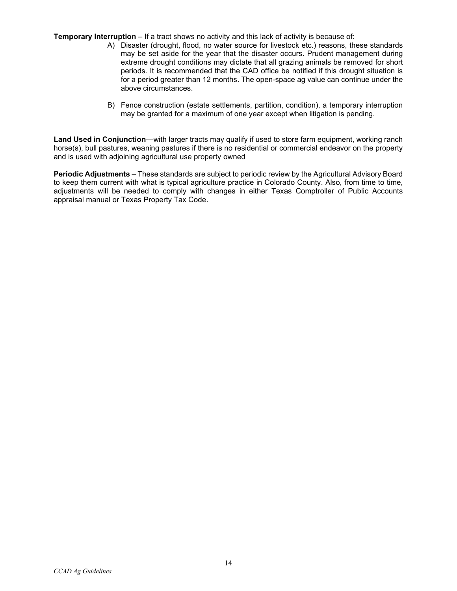**Temporary Interruption** – If a tract shows no activity and this lack of activity is because of:

- A) Disaster (drought, flood, no water source for livestock etc.) reasons, these standards may be set aside for the year that the disaster occurs. Prudent management during extreme drought conditions may dictate that all grazing animals be removed for short periods. It is recommended that the CAD office be notified if this drought situation is for a period greater than 12 months. The open-space ag value can continue under the above circumstances.
- B) Fence construction (estate settlements, partition, condition), a temporary interruption may be granted for a maximum of one year except when litigation is pending.

**Land Used in Conjunction**—with larger tracts may qualify if used to store farm equipment, working ranch horse(s), bull pastures, weaning pastures if there is no residential or commercial endeavor on the property and is used with adjoining agricultural use property owned

**Periodic Adjustments** – These standards are subject to periodic review by the Agricultural Advisory Board to keep them current with what is typical agriculture practice in Colorado County. Also, from time to time, adjustments will be needed to comply with changes in either Texas Comptroller of Public Accounts appraisal manual or Texas Property Tax Code.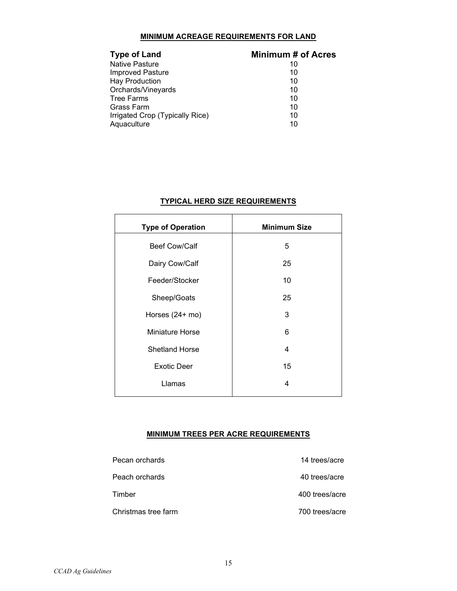### **MINIMUM ACREAGE REQUIREMENTS FOR LAND**

#### **Type of Land**<br> **Minimum # of Acres**<br> **Minimum # of Acres**<br>
10 Native Pasture 10<br>
Improved Pasture 10<br>
10 Improved Pasture Hay Production 10 Orchards/Vineyards 10 Tree Farms (10)<br>Grass Farm (10) 10 Grass Farm 10<br>Irrigated Crop (Typically Rice) 10 Irrigated Crop (Typically Rice) 10<br>Aquaculture 10 Aquaculture

## **TYPICAL HERD SIZE REQUIREMENTS**

| <b>Type of Operation</b> | <b>Minimum Size</b> |
|--------------------------|---------------------|
| <b>Beef Cow/Calf</b>     | 5                   |
| Dairy Cow/Calf           | 25                  |
| Feeder/Stocker           | 10                  |
| Sheep/Goats              | 25                  |
| Horses (24+ mo)          | 3                   |
| Miniature Horse          | 6                   |
| <b>Shetland Horse</b>    | 4                   |
| <b>Exotic Deer</b>       | 15                  |
| Llamas                   | 4                   |
|                          |                     |

#### **MINIMUM TREES PER ACRE REQUIREMENTS**

| Pecan orchards      | 14 trees/acre  |
|---------------------|----------------|
| Peach orchards      | 40 trees/acre  |
| Timber              | 400 trees/acre |
| Christmas tree farm | 700 trees/acre |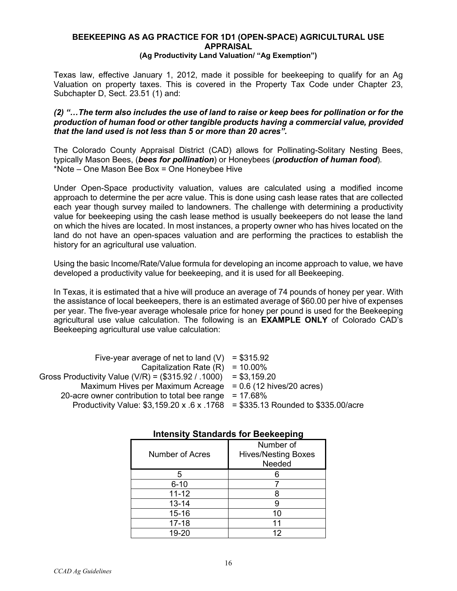## **BEEKEEPING AS AG PRACTICE FOR 1D1 (OPEN-SPACE) AGRICULTURAL USE APPRAISAL**

### **(Ag Productivity Land Valuation/ "Ag Exemption")**

Texas law, effective January 1, 2012, made it possible for beekeeping to qualify for an Ag Valuation on property taxes. This is covered in the Property Tax Code under Chapter 23, Subchapter D, Sect. 23.51 (1) and:

## *(2) "…The term also includes the use of land to raise or keep bees for pollination or for the production of human food or other tangible products having a commercial value, provided that the land used is not less than 5 or more than 20 acres".*

The Colorado County Appraisal District (CAD) allows for Pollinating-Solitary Nesting Bees, typically Mason Bees, (*bees for pollination*) or Honeybees (*production of human food*)*.*  \*Note – One Mason Bee Box = One Honeybee Hive

Under Open-Space productivity valuation, values are calculated using a modified income approach to determine the per acre value. This is done using cash lease rates that are collected each year though survey mailed to landowners. The challenge with determining a productivity value for beekeeping using the cash lease method is usually beekeepers do not lease the land on which the hives are located. In most instances, a property owner who has hives located on the land do not have an open-spaces valuation and are performing the practices to establish the history for an agricultural use valuation.

Using the basic Income/Rate/Value formula for developing an income approach to value, we have developed a productivity value for beekeeping, and it is used for all Beekeeping.

In Texas, it is estimated that a hive will produce an average of 74 pounds of honey per year. With the assistance of local beekeepers, there is an estimated average of \$60.00 per hive of expenses per year. The five-year average wholesale price for honey per pound is used for the Beekeeping agricultural use value calculation. The following is an **EXAMPLE ONLY** of Colorado CAD's Beekeeping agricultural use value calculation:

| Five-year average of net to land $(V)$ = \$315.92                                          |             |
|--------------------------------------------------------------------------------------------|-------------|
| Capitalization Rate $(R) = 10.00\%$                                                        |             |
| Gross Productivity Value (V/R) = $(\$315.92 / .1000)$ = \$3,159.20                         |             |
| Maximum Hives per Maximum Acreage $= 0.6$ (12 hives/20 acres)                              |             |
| 20-acre owner contribution to total bee range                                              | $= 17.68\%$ |
| Productivity Value: $$3,159.20 \times .6 \times .1768 = $335.13$ Rounded to $$335.00/acre$ |             |

| <b>INCISILY JULIUSIUS IOI DEENEEPING</b> |                                                   |  |
|------------------------------------------|---------------------------------------------------|--|
| Number of Acres                          | Number of<br><b>Hives/Nesting Boxes</b><br>Needed |  |
| 5                                        |                                                   |  |
| $6 - 10$                                 |                                                   |  |
| $11 - 12$                                |                                                   |  |
| $13 - 14$                                |                                                   |  |
| $15 - 16$                                | 10                                                |  |
| $17 - 18$                                | 11                                                |  |
| 19-20                                    | 12                                                |  |

## **Intensity Standards for Beekeeping**